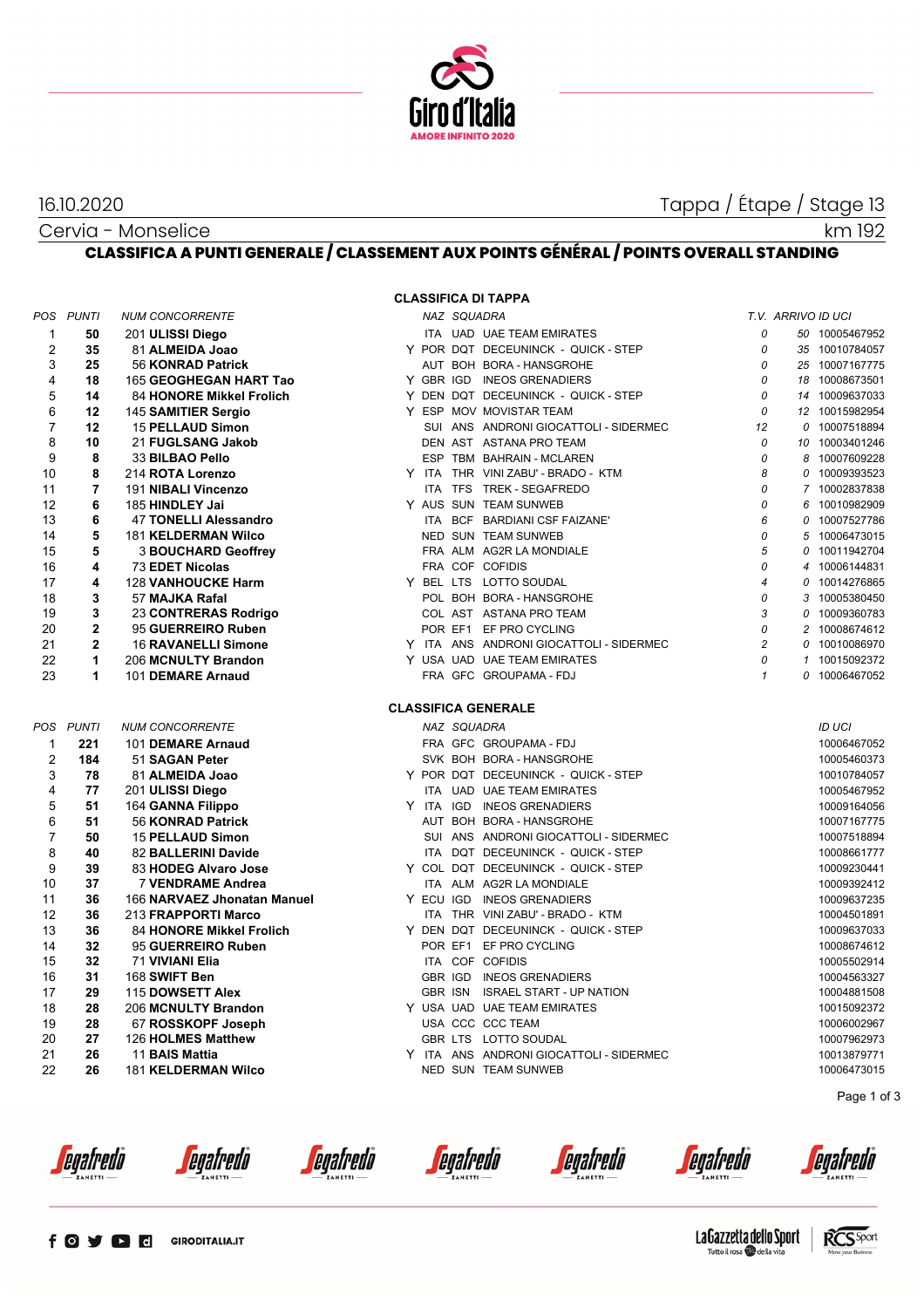

16.10.2020 Tappa / Étape / Stage 13

## Cervia - Monselice

km 192

## **CLASSIFICA A PUNTI GENERALE / CLASSEMENT AUX POINTS GÉNÉRAL / POINTS OVERALL STANDING**

| POS | PUNTI          | NUM CONCORRENTE              |
|-----|----------------|------------------------------|
| 1   | 50             | 201 ULISSI Diego             |
| 2   | 35             | 81 ALMEIDA Joao              |
| 3   | 25             | 56 KONRAD Patrick            |
| 4   | 18             | 165 GEOGHEGAN HART Tao       |
| 5   | 14             | 84 HONORE Mikkel Frolich     |
| 6   | 12             | 145 SAMITIER Sergio          |
| 7   | 12             | <b>15 PELLAUD Simon</b>      |
| 8   | 10             | 21 FUGLSANG Jakob            |
| 9   | 8              | 33 BILBAO Pello              |
| 10  | 8              | 214 ROTA Lorenzo             |
| 11  | 7              | 191 NIBALI Vincenzo          |
| 12  | 6              | 185 HINDLEY Jai              |
| 13  | 6              | <b>47 TONELLI Alessandro</b> |
| 14  | 5              | <b>181 KELDERMAN Wilco</b>   |
| 15  | 5              | <b>3 BOUCHARD Geoffrev</b>   |
| 16  | 4              | 73 EDET Nicolas              |
| 17  | 4              | <b>128 VANHOUCKE Harm</b>    |
| 18  | 3              | 57 MAJKA Rafal               |
| 19  | 3              | 23 CONTRERAS Rodrigo         |
| 20  | $\overline{2}$ | 95 GUERREIRO Ruben           |
| 21  | $\overline{2}$ | <b>16 RAVANELLI Simone</b>   |
| 22  | 1              | 206 MCNULTY Brandon          |
| 23  | 1              | 101 DEMARE Arnaud            |
| POS | <b>PUNTI</b>   | <b>NUM CONCORRENTE</b>       |
| 1   | 221            | 101 DEMARE Arnaud            |
| 2   | 184            | 51 SAGAN Peter               |
| 3   | 78             | 81 ALMEIDA Joao              |
| 4   | 77             | 201 ULISSI Diego             |
| 5   | 51             | 164 GANNA Filippo            |
| 6   | 51             | 56 KONRAD Patrick            |
| 7   | 50             | <b>15 PELLAUD Simon</b>      |
| 8   | 40             | 82 BALLERINI Davide          |
| 9   | 39             | 83 HODEG Alvaro Jose         |
| 10  | 37             | <b>7 VENDRAME Andrea</b>     |
| 11  | 36             | 166 NARVAEZ Jhonatan Manue   |
| 12  | 36             | 213 FRAPPORTI Marco          |
| 13  | 36             | 84 HONORE Mikkel Frolich     |
| 14  | 32             | 95 GUERREIRO Ruben           |
| 15  | 32             | 71 VIVIANI Elia              |
| 16  | 31             | 168 SWIFT Ben                |
| 17  | 29             | 115 DOWSETT Alex             |
| 18  | 28             | 206 MCNULTY Brandon          |
| 19  | 28             | 67 ROSSKOPF Joseph           |
| 20  | 27             | 126 HOLMES Matthew           |
| 21  | 26             | 11 BAIS Mattia               |
| 22  | 26             | <b>181 KELDERMAN Wilco</b>   |

**CLASSIFICA DI TAPPA**

|                |              |                                 |  |             | <b>ULASSIFIUA DI TAFFA</b>              |                |                    |                |
|----------------|--------------|---------------------------------|--|-------------|-----------------------------------------|----------------|--------------------|----------------|
|                | POS PUNTI    | <b>NUM CONCORRENTE</b>          |  | NAZ SQUADRA |                                         |                | T.V. ARRIVO ID UCI |                |
| 1              | 50           | 201 ULISSI Diego                |  |             | ITA UAD UAE TEAM EMIRATES               | 0              |                    | 50 10005467952 |
| 2              | 35           | 81 ALMEIDA Joao                 |  |             | Y POR DQT DECEUNINCK - QUICK - STEP     | 0              |                    | 35 10010784057 |
| 3              | 25           | 56 KONRAD Patrick               |  |             | AUT BOH BORA - HANSGROHE                | 0              |                    | 25 10007167775 |
| 4              | 18           | 165 GEOGHEGAN HART Tao          |  |             | Y GBR IGD INEOS GRENADIERS              | 0              |                    | 18 10008673501 |
| 5              | 14           | 84 HONORE Mikkel Frolich        |  |             | Y DEN DQT DECEUNINCK - QUICK - STEP     | 0              |                    | 14 10009637033 |
| 6              | 12           | 145 SAMITIER Sergio             |  |             | Y ESP MOV MOVISTAR TEAM                 | 0              |                    | 12 10015982954 |
| $\overline{7}$ | 12           | 15 PELLAUD Simon                |  |             | SUI ANS ANDRONI GIOCATTOLI - SIDERMEC   | 12             |                    | 0 10007518894  |
| 8              | 10           | 21 FUGLSANG Jakob               |  |             | DEN AST ASTANA PRO TEAM                 | 0              |                    | 10 10003401246 |
| 9              | 8            | 33 BILBAO Pello                 |  |             | ESP TBM BAHRAIN - MCLAREN               | 0              |                    | 8 10007609228  |
| 10             | 8            | 214 ROTA Lorenzo                |  |             | Y ITA THR VINI ZABU' - BRADO - KTM      | 8              |                    | 0 10009393523  |
| 11             | 7            | 191 NIBALI Vincenzo             |  |             | ITA TFS TREK - SEGAFREDO                | 0              |                    | 7 10002837838  |
| 12             | 6            | 185 HINDLEY Jai                 |  |             | Y AUS SUN TEAM SUNWEB                   | 0              |                    | 6 10010982909  |
| 13             | 6            | 47 TONELLI Alessandro           |  |             | ITA BCF BARDIANI CSF FAIZANE'           | 6              |                    | 0 10007527786  |
| 14             | 5            | <b>181 KELDERMAN Wilco</b>      |  |             | NED SUN TEAM SUNWEB                     | 0              |                    | 5 10006473015  |
| 15             | 5            | <b>3 BOUCHARD Geoffrey</b>      |  |             | FRA ALM AG2R LA MONDIALE                | 5              |                    | 0 10011942704  |
| 16             | 4            | 73 EDET Nicolas                 |  |             | FRA COF COFIDIS                         | 0              |                    | 4 10006144831  |
| 17             | 4            | <b>128 VANHOUCKE Harm</b>       |  |             | Y BEL LTS LOTTO SOUDAL                  | $\overline{4}$ |                    | 0 10014276865  |
| 18             | 3            | 57 MAJKA Rafal                  |  |             | POL BOH BORA - HANSGROHE                | 0              |                    | 3 10005380450  |
| 19             | 3            | 23 CONTRERAS Rodrigo            |  |             | COL AST ASTANA PRO TEAM                 | 3              |                    | 0 10009360783  |
| 20             | $\mathbf{2}$ | 95 GUERREIRO Ruben              |  |             | POR EF1 EF PRO CYCLING                  | 0              |                    | 2 10008674612  |
| 21             | $\mathbf{2}$ | <b>16 RAVANELLI Simone</b>      |  |             | Y ITA ANS ANDRONI GIOCATTOLI - SIDERMEC | $\overline{c}$ |                    | 0 10010086970  |
| 22             | 1            | 206 MCNULTY Brandon             |  |             | Y USA UAD UAE TEAM EMIRATES             | 0              |                    | 1 10015092372  |
| 23             | 1            | 101 DEMARE Arnaud               |  |             | FRA GFC GROUPAMA-FDJ                    | $\mathbf{1}$   |                    | 0 10006467052  |
|                |              |                                 |  |             | <b>CLASSIFICA GENERALE</b>              |                |                    |                |
|                | POS PUNTI    | <b>NUM CONCORRENTE</b>          |  | NAZ SQUADRA |                                         |                |                    | <b>ID UCI</b>  |
| 1              | 221          | 101 DEMARE Arnaud               |  |             | FRA GFC GROUPAMA - FDJ                  |                |                    | 10006467052    |
| $\overline{2}$ | 184          | 51 SAGAN Peter                  |  |             | SVK BOH BORA - HANSGROHE                |                |                    | 10005460373    |
| 3              | 78           | 81 ALMEIDA Joao                 |  |             | Y POR DQT DECEUNINCK - QUICK - STEP     |                |                    | 10010784057    |
| 4              | 77           | 201 ULISSI Diego                |  |             | ITA UAD UAE TEAM EMIRATES               |                |                    | 10005467952    |
| 5              | 51           | 164 GANNA Filippo               |  |             | Y ITA IGD INEOS GRENADIERS              |                |                    | 10009164056    |
| 6              | 51           | 56 KONRAD Patrick               |  |             | AUT BOH BORA - HANSGROHE                |                |                    | 10007167775    |
| $\overline{7}$ | 50           | <b>15 PELLAUD Simon</b>         |  |             | SUI ANS ANDRONI GIOCATTOLI - SIDERMEC   |                |                    | 10007518894    |
| 8              | 40           | 82 BALLERINI Davide             |  |             | ITA DQT DECEUNINCK - QUICK - STEP       |                |                    | 10008661777    |
| 9              | 39           | 83 HODEG Alvaro Jose            |  |             | Y COL DQT DECEUNINCK - QUICK - STEP     |                |                    | 10009230441    |
| 10             | 37           | 7 VENDRAME Andrea               |  |             | ITA ALM AG2R LA MONDIALE                |                |                    | 10009392412    |
| 11             | 36           | 166 NARVAEZ Jhonatan Manuel     |  |             | Y ECU IGD INEOS GRENADIERS              |                |                    | 10009637235    |
| 12             | 36           | 213 FRAPPORTI Marco             |  |             | ITA THR VINI ZABU' - BRADO - KTM        |                |                    | 10004501891    |
| 13             | 36           | <b>84 HONORE Mikkel Frolich</b> |  |             | Y DEN DQT DECEUNINCK - QUICK - STEP     |                |                    | 10009637033    |
| 14             | 32           | 95 GUERREIRO Ruben              |  |             | POR EF1 EF PRO CYCLING                  |                |                    | 10008674612    |
| 15             | 32           | 71 VIVIANI Elia                 |  |             | ITA COF COFIDIS                         |                |                    | 10005502914    |
| 16             | 31           | 168 SWIFT Ben                   |  |             | GBR IGD INEOS GRENADIERS                |                |                    | 10004563327    |
| 17             | 29           | 115 DOWSETT Alex                |  |             | GBR ISN ISRAEL START - UP NATION        |                |                    | 10004881508    |
| 18             | 28           | 206 MCNULTY Brandon             |  |             | Y USA UAD UAE TEAM EMIRATES             |                |                    | 10015092372    |
| 19             | 28           | 67 ROSSKOPF Joseph              |  |             | USA CCC CCC TEAM                        |                |                    | 10006002967    |
| 20             | 27           | 126 HOLMES Matthew              |  |             | GBR LTS LOTTO SOUDAL                    |                |                    | 10007962973    |
| 21             | 26           | 11 BAIS Mattia                  |  |             | Y ITA ANS ANDRONI GIOCATTOLI - SIDERMEC |                |                    | 10013879771    |
| 22             | 26           | <b>181 KELDERMAN Wilco</b>      |  |             | NED SUN TEAM SUNWEB                     |                |                    | 10006473015    |
|                |              |                                 |  |             |                                         |                |                    |                |

Page 1 of 3

*<u>egafredò</u>* 

egafredò

*<u>egafredo</u>* 

*<u>egafredo</u>* 

*<u>egafredò</u>* 

*<u>egafredò</u>* 

enafredo

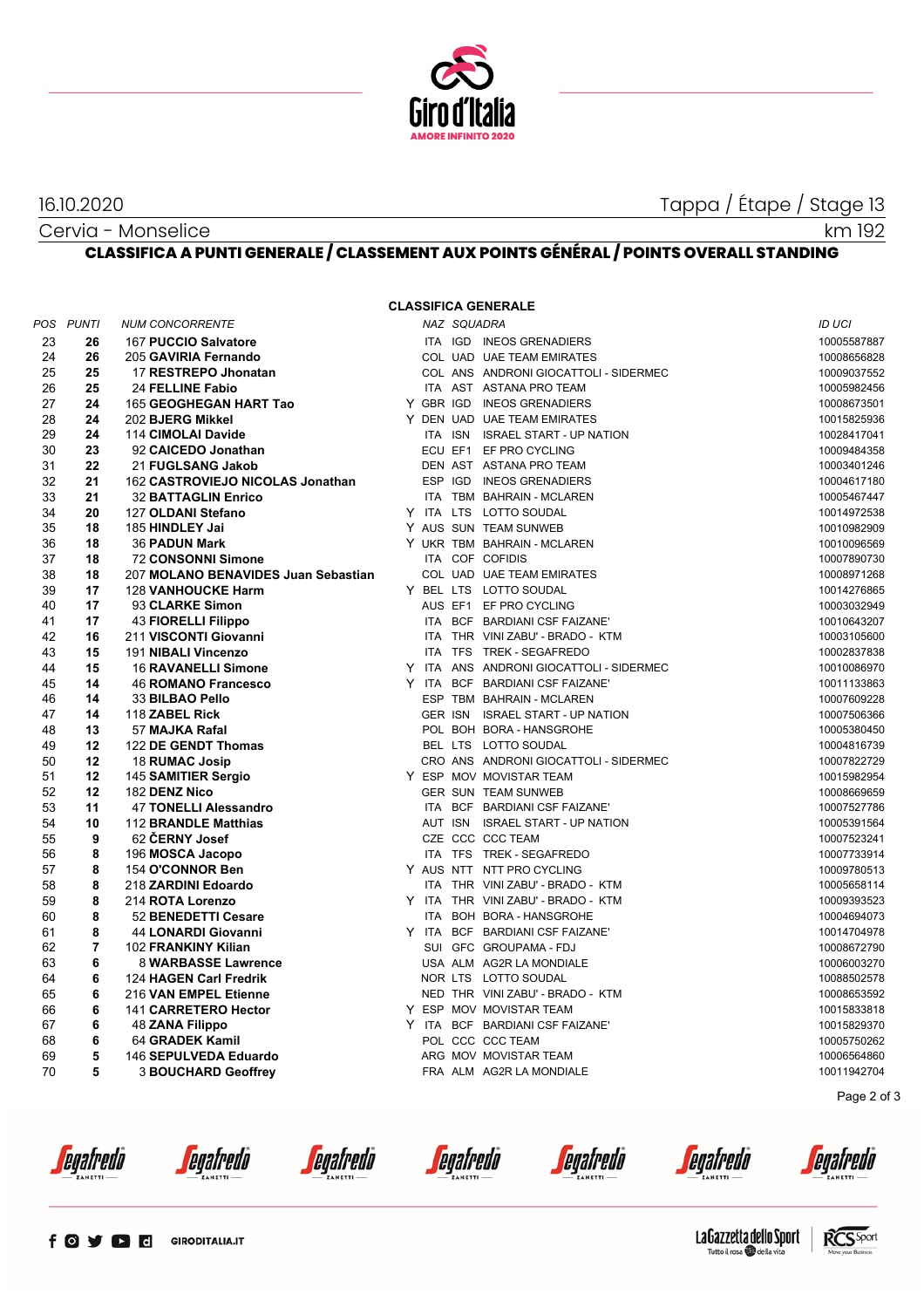

16.10.2020 Tappa / Étape / Stage 13

km 192

Cervia - Monselice **CLASSIFICA A PUNTI GENERALE / CLASSEMENT AUX POINTS GÉNÉRAL / POINTS OVERALL STANDING**

## **CLASSIFICA GENERALE**

|    | POS PUNTI      | <b>NUM CONCORRENTE</b>              |  | NAZ SQUADRA |                                         | <b>ID UCI</b> |
|----|----------------|-------------------------------------|--|-------------|-----------------------------------------|---------------|
| 23 | 26             | 167 PUCCIO Salvatore                |  |             | ITA IGD INEOS GRENADIERS                | 10005587887   |
| 24 | 26             | 205 GAVIRIA Fernando                |  |             | COL UAD UAE TEAM EMIRATES               | 10008656828   |
| 25 | 25             | 17 RESTREPO Jhonatan                |  |             | COL ANS ANDRONI GIOCATTOLI - SIDERMEC   | 10009037552   |
| 26 | 25             | 24 FELLINE Fabio                    |  |             | ITA AST ASTANA PRO TEAM                 | 10005982456   |
| 27 | 24             | 165 GEOGHEGAN HART Tao              |  |             | Y GBR IGD INEOS GRENADIERS              | 10008673501   |
| 28 | 24             | 202 BJERG Mikkel                    |  |             | Y DEN UAD UAE TEAM EMIRATES             | 10015825936   |
| 29 | 24             | 114 CIMOLAI Davide                  |  |             | ITA ISN ISRAEL START - UP NATION        | 10028417041   |
| 30 | 23             | 92 CAICEDO Jonathan                 |  |             | ECU EF1 EF PRO CYCLING                  | 10009484358   |
| 31 | 22             | 21 FUGLSANG Jakob                   |  |             | DEN AST ASTANA PRO TEAM                 | 10003401246   |
| 32 | 21             | 162 CASTROVIEJO NICOLAS Jonathan    |  |             | ESP IGD INEOS GRENADIERS                | 10004617180   |
| 33 | 21             | <b>32 BATTAGLIN Enrico</b>          |  |             | ITA TBM BAHRAIN - MCLAREN               | 10005467447   |
| 34 | 20             | 127 OLDANI Stefano                  |  |             | Y ITA LTS LOTTO SOUDAL                  | 10014972538   |
| 35 | 18             | 185 HINDLEY Jai                     |  |             | Y AUS SUN TEAM SUNWEB                   | 10010982909   |
| 36 | 18             | <b>36 PADUN Mark</b>                |  |             | Y UKR TBM BAHRAIN - MCLAREN             | 10010096569   |
| 37 | 18             | <b>72 CONSONNI Simone</b>           |  |             | ITA COF COFIDIS                         | 10007890730   |
| 38 | 18             | 207 MOLANO BENAVIDES Juan Sebastian |  |             | COL UAD UAE TEAM EMIRATES               | 10008971268   |
| 39 | 17             | <b>128 VANHOUCKE Harm</b>           |  |             | Y BEL LTS LOTTO SOUDAL                  | 10014276865   |
| 40 | 17             | 93 CLARKE Simon                     |  |             | AUS EF1 EF PRO CYCLING                  | 10003032949   |
| 41 | 17             | 43 FIORELLI Filippo                 |  |             | ITA BCF BARDIANI CSF FAIZANE'           | 10010643207   |
| 42 | 16             | 211 VISCONTI Giovanni               |  |             | ITA THR VINI ZABU' - BRADO - KTM        | 10003105600   |
| 43 | 15             | 191 NIBALI Vincenzo                 |  |             | ITA TFS TREK - SEGAFREDO                | 10002837838   |
| 44 | 15             | <b>16 RAVANELLI Simone</b>          |  |             | Y ITA ANS ANDRONI GIOCATTOLI - SIDERMEC | 10010086970   |
| 45 | 14             | <b>46 ROMANO Francesco</b>          |  |             | Y ITA BCF BARDIANI CSF FAIZANE'         | 10011133863   |
| 46 | 14             | 33 BILBAO Pello                     |  |             | ESP TBM BAHRAIN - MCLAREN               | 10007609228   |
| 47 | 14             | 118 ZABEL Rick                      |  |             | GER ISN ISRAEL START - UP NATION        | 10007506366   |
| 48 | 13             | 57 MAJKA Rafal                      |  |             | POL BOH BORA - HANSGROHE                | 10005380450   |
| 49 | 12             | 122 DE GENDT Thomas                 |  |             | BEL LTS LOTTO SOUDAL                    | 10004816739   |
| 50 | 12             | 18 RUMAC Josip                      |  |             | CRO ANS ANDRONI GIOCATTOLI - SIDERMEC   | 10007822729   |
| 51 | 12             | 145 SAMITIER Sergio                 |  |             | Y ESP MOV MOVISTAR TEAM                 | 10015982954   |
| 52 | 12             | 182 DENZ Nico                       |  |             | <b>GER SUN TEAM SUNWEB</b>              | 10008669659   |
| 53 | 11             | <b>47 TONELLI Alessandro</b>        |  |             | ITA BCF BARDIANI CSF FAIZANE'           | 10007527786   |
| 54 | 10             | 112 BRANDLE Matthias                |  |             | AUT ISN ISRAEL START - UP NATION        | 10005391564   |
| 55 | 9              | 62 ČERNY Josef                      |  |             | CZE CCC CCC TEAM                        | 10007523241   |
| 56 | 8              | 196 MOSCA Jacopo                    |  |             | ITA TFS TREK - SEGAFREDO                | 10007733914   |
| 57 | 8              | 154 O'CONNOR Ben                    |  |             | Y AUS NTT NTT PRO CYCLING               | 10009780513   |
| 58 | 8              | 218 ZARDINI Edoardo                 |  |             | ITA THR VINI ZABU' - BRADO - KTM        | 10005658114   |
| 59 | 8              | 214 ROTA Lorenzo                    |  |             | Y ITA THR VINI ZABU' - BRADO - KTM      | 10009393523   |
| 60 | 8              | 52 BENEDETTI Cesare                 |  |             | ITA BOH BORA - HANSGROHE                | 10004694073   |
| 61 | 8              | <b>44 LONARDI Giovanni</b>          |  |             | Y ITA BCF BARDIANI CSF FAIZANE'         | 10014704978   |
| 62 | $\overline{7}$ | 102 FRANKINY Kilian                 |  |             | SUI GFC GROUPAMA - FDJ                  | 10008672790   |
| 63 | 6              | 8 WARBASSE Lawrence                 |  |             | USA ALM AG2R LA MONDIALE                | 10006003270   |
| 64 | 6              | 124 HAGEN Carl Fredrik              |  |             | NOR LTS LOTTO SOUDAL                    | 10088502578   |
| 65 | 6              | 216 VAN EMPEL Etienne               |  |             | NED THR VINI ZABU' - BRADO - KTM        | 10008653592   |
| 66 | 6              | 141 CARRETERO Hector                |  |             | Y ESP MOV MOVISTAR TEAM                 | 10015833818   |
| 67 | 6              | <b>48 ZANA Filippo</b>              |  |             | Y ITA BCF BARDIANI CSF FAIZANE'         | 10015829370   |
| 68 | 6              | 64 GRADEK Kamil                     |  |             | POL CCC CCC TEAM                        | 10005750262   |
| 69 | 5              | 146 SEPULVEDA Eduardo               |  |             | ARG MOV MOVISTAR TEAM                   | 10006564860   |
| 70 | 5              | <b>3 BOUCHARD Geoffrey</b>          |  |             | FRA ALM AG2R LA MONDIALE                | 10011942704   |
|    |                |                                     |  |             |                                         | Page 2 of 3   |



*<u>egafredò</u>* 

*<u>egafredò</u>* 

*<u>egafredò</u>* 

*<u>egafredò</u>* 

*<u>egafredo</u>* 

egafredo